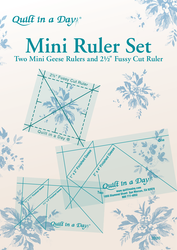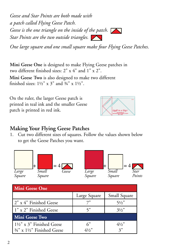*Geese and Star Points are both made with a patch called Flying Geese Patch. Geese is the one triangle on the inside of the patch. Star Points are the two outside triangles.* 

*One large square and one small square make four Flying Geese Patches.*

**Mini Geese One** is designed to make Flying Geese patches in two different finished sizes: 2" x 4" and 1" x 2".

**Mini Geese Two** is also designed to make two different finished sizes:  $1\frac{1}{2}$ " x 3" and  $\frac{3}{4}$ " x  $\frac{1}{2}$ ".

On the ruler, the larger Geese patch is printed in teal ink and the smaller Geese patch is printed in red ink.



#### **Making Your Flying Geese Patches**

1. Cut two different sizes of squares. Follow the values shown below to get the Geese Patches you want.

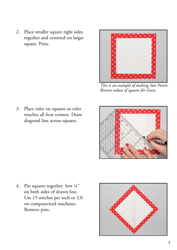- 2. Place smaller square right sides together and centered on larger square. Press.
- *Participal*

*This is an example of making Star Points. Reverse values of squares for Geese.*

- 3. Place ruler on squares so ruler touches all four corners. Draw diagonal line across squares.
- 

4. Pin squares together. Sew ¼" on both sides of drawn line. Use 15 stitches per inch or 2.0 on computerized machines. Remove pins.

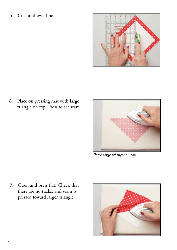5. Cut on drawn line.



6. Place on pressing mat with **large** triangle on top. Press to set seam.



*Place large triangle on top.*

7. Open and press flat. Check that there are no tucks, and seam is pressed toward larger triangle.

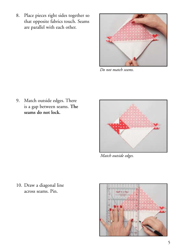8. Place pieces right sides together so that opposite fabrics touch. Seams are parallel with each other.



*Do not match seams.*

9. Match outside edges. There is a gap between seams. **The seams do not lock.**



*Match outside edges.*

10. Draw a diagonal line across seams. Pin.

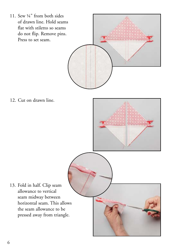- 11. Sew ¼" from both sides of drawn line. Hold seams flat with stiletto so seams do not flip. Remove pins. Press to set seam.
- 12. Cut on drawn line.



13. Fold in half. Clip seam allowance to vertical seam midway between horizontal seam. This allows the seam allowance to be pressed away from triangle.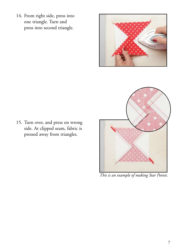14. From right side, press into one triangle. Turn and press into second triangle.



15. Turn over, and press on wrong side. At clipped seam, fabric is pressed away from triangles.



*This is an example of making Star Points.*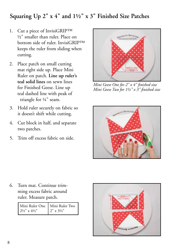# **Squaring Up 2" x 4" and 1H" x 3" Finished Size Patches**

- 1. Cut a piece of InvisiGRIP™  $1/2$ " smaller than ruler. Place on bottom side of ruler. InvisiGRIP™ keeps the ruler from sliding when cutting.
- 2. Place patch on small cutting mat right side up. Place Mini Ruler on patch. **Line up ruler's teal solid lines** on sewn lines for Finished Geese. Line up teal dashed line with peak of triangle for 1/4" seam.
- 3. Hold ruler securely on fabric so it doesn't shift while cutting.
- 4. Cut block in half, and separate two patches.
- 5. Trim off excess fabric on side.



*Mini Geese One for 2" x 4" finished size Mini Geese Two for 1H" x 3" finished size*



6. Turn mat. Continue trimming excess fabric around ruler. Measure patch.

| Mini Ruler One   Mini Ruler Two |                           |
|---------------------------------|---------------------------|
| $2\frac{1}{2}$ x $4\frac{1}{2}$ | $2" \times 3\frac{1}{2}"$ |

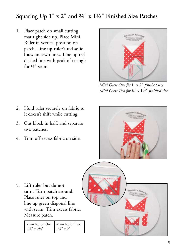# **Squaring Up 1" x 2" and I" x 1H" Finished Size Patches**

1. Place patch on small cutting mat right side up. Place Mini Ruler in vertical position on patch. **Line up ruler's red solid lines** on sewn lines. Line up red dashed line with peak of triangle for  $\frac{1}{4}$ " seam.



*Mini Geese One for* 1" x 2" *finished size Mini Geese Two for* 3/4" x 11/2" *finished size* 

- 2. Hold ruler securely on fabric so it doesn't shift while cutting.
- 3. Cut block in half, and separate two patches.
- 4. Trim off excess fabric on side.



5. **Lift ruler but do not turn. Turn patch around.** Place ruler on top and line up green diagonal line with seam. Trim excess fabric. Measure patch.

> Mini Ruler One  $1\frac{1}{2}$ " x  $2\frac{1}{2}$ " Mini Ruler Two  $1\frac{1}{4}$ " x 2"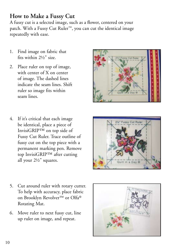# **How to Make a Fussy Cut**

A fussy cut is a selected image, such as a flower, centered on your patch. With a Fussy Cut Ruler™, you can cut the identical image repeatedly with ease.

- 1. Find image on fabric that fits within  $2\frac{1}{2}$ " size.
- 2. Place ruler on top of image, with center of X on center of image. The dashed lines indicate the seam lines. Shift ruler so image fits within seam lines.



4. If it's critical that each image be identical, place a piece of InvisiGRIP™ on top side of Fussy Cut Ruler. Trace outline of fussy cut on the top piece with a permanent marking pen. Remove top InvisiGRIP™ after cutting all your  $2\frac{1}{2}$ " squares.



- 5. Cut around ruler with rotary cutter. To help with accuracy, place fabric on Brooklyn Revolver™ or Olfa® Rotating Mat.
- 6. Move ruler to next fussy cut, line up ruler on image, and repeat.

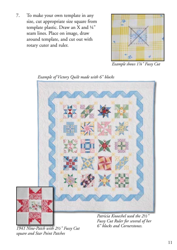7. To make your own template in any size, cut appropriate size square from template plastic. Draw an X and 1/4" seam lines. Place on image, draw around template, and cut out with rotary cuter and ruler.



*Example shows 1M" Fussy Cut*

*Example of Victory Quilt made with 6" blocks*

*1941 Nine-Patch with 2H" Fussy Cut square and Star Point Patches*

*Patricia Knoechel used the 2H" Fussy Cut Ruler for several of her 6" blocks and Cornerstones.*